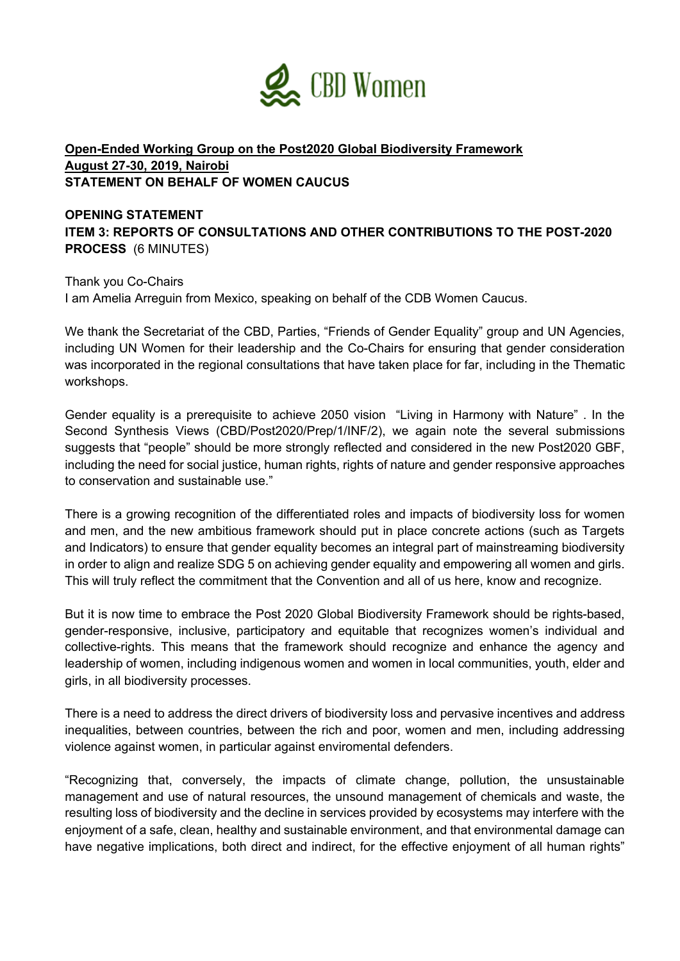

## **Open-Ended Working Group on the Post2020 Global Biodiversity Framework August 27-30, 2019, Nairobi STATEMENT ON BEHALF OF WOMEN CAUCUS**

## **OPENING STATEMENT ITEM 3: REPORTS OF CONSULTATIONS AND OTHER CONTRIBUTIONS TO THE POST-2020 PROCESS** (6 MINUTES)

Thank you Co-Chairs I am Amelia Arreguin from Mexico, speaking on behalf of the CDB Women Caucus.

We thank the Secretariat of the CBD, Parties, "Friends of Gender Equality" group and UN Agencies, including UN Women for their leadership and the Co-Chairs for ensuring that gender consideration was incorporated in the regional consultations that have taken place for far, including in the Thematic workshops.

Gender equality is a prerequisite to achieve 2050 vision "Living in Harmony with Nature" . In the Second Synthesis Views (CBD/Post2020/Prep/1/INF/2), we again note the several submissions suggests that "people" should be more strongly reflected and considered in the new Post2020 GBF, including the need for social justice, human rights, rights of nature and gender responsive approaches to conservation and sustainable use."

There is a growing recognition of the differentiated roles and impacts of biodiversity loss for women and men, and the new ambitious framework should put in place concrete actions (such as Targets and Indicators) to ensure that gender equality becomes an integral part of mainstreaming biodiversity in order to align and realize SDG 5 on achieving gender equality and empowering all women and girls. This will truly reflect the commitment that the Convention and all of us here, know and recognize.

But it is now time to embrace the Post 2020 Global Biodiversity Framework should be rights-based, gender-responsive, inclusive, participatory and equitable that recognizes women's individual and collective-rights. This means that the framework should recognize and enhance the agency and leadership of women, including indigenous women and women in local communities, youth, elder and girls, in all biodiversity processes.

There is a need to address the direct drivers of biodiversity loss and pervasive incentives and address inequalities, between countries, between the rich and poor, women and men, including addressing violence against women, in particular against enviromental defenders.

"Recognizing that, conversely, the impacts of climate change, pollution, the unsustainable management and use of natural resources, the unsound management of chemicals and waste, the resulting loss of biodiversity and the decline in services provided by ecosystems may interfere with the enjoyment of a safe, clean, healthy and sustainable environment, and that environmental damage can have negative implications, both direct and indirect, for the effective enjoyment of all human rights"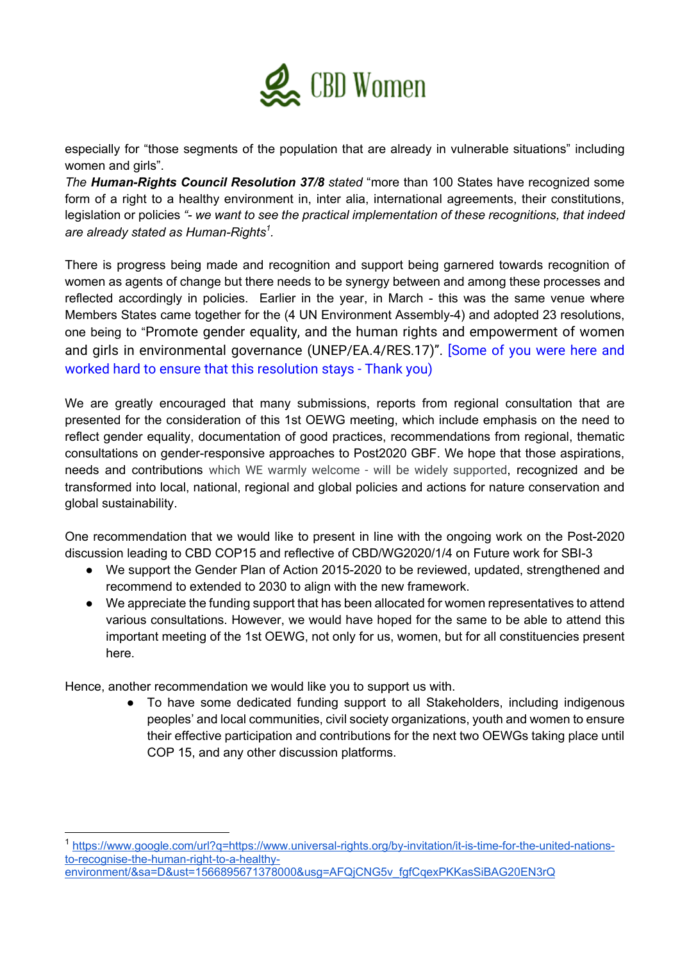

especially for "those segments of the population that are already in vulnerable situations" including women and girls".

*The Human-Rights Council Resolution 37/8 stated* "more than 100 States have recognized some form of a right to a healthy environment in, inter alia, international agreements, their constitutions, legislation or policies *"- we want to see the practical implementation of these recognitions, that indeed are already stated as Human-Rights<sup>1</sup> .* 

There is progress being made and recognition and support being garnered towards recognition of women as agents of change but there needs to be synergy between and among these processes and reflected accordingly in policies. Earlier in the year, in March - this was the same venue where Members States came together for the (4 UN Environment Assembly-4) and adopted 23 resolutions, one being to "Promote gender equality, and the human rights and empowerment of women and girls in environmental governance (UNEP/EA.4/RES.17)". [Some of you were here and worked hard to ensure that this resolution stays - Thank you)

We are greatly encouraged that many submissions, reports from regional consultation that are presented for the consideration of this 1st OEWG meeting, which include emphasis on the need to reflect gender equality, documentation of good practices, recommendations from regional, thematic consultations on gender-responsive approaches to Post2020 GBF. We hope that those aspirations, needs and contributions which WE warmly welcome - will be widely supported, recognized and be transformed into local, national, regional and global policies and actions for nature conservation and global sustainability.

One recommendation that we would like to present in line with the ongoing work on the Post-2020 discussion leading to CBD COP15 and reflective of CBD/WG2020/1/4 on Future work for SBI-3

- We support the Gender Plan of Action 2015-2020 to be reviewed, updated, strengthened and recommend to extended to 2030 to align with the new framework.
- We appreciate the funding support that has been allocated for women representatives to attend various consultations. However, we would have hoped for the same to be able to attend this important meeting of the 1st OEWG, not only for us, women, but for all constituencies present here.

Hence, another recommendation we would like you to support us with.

To have some dedicated funding support to all Stakeholders, including indigenous peoples' and local communities, civil society organizations, youth and women to ensure their effective participation and contributions for the next two OEWGs taking place until COP 15, and any other discussion platforms.

https://www.google.com/url?q=https://www.universal-rights.org/by-invitation/it-is-time-for-the-united-nationsto-recognise-the-human-right-to-a-healthyenvironment/&sa=D&ust=1566895671378000&usg=AFQjCNG5v\_fgfCqexPKKasSiBAG20EN3rQ